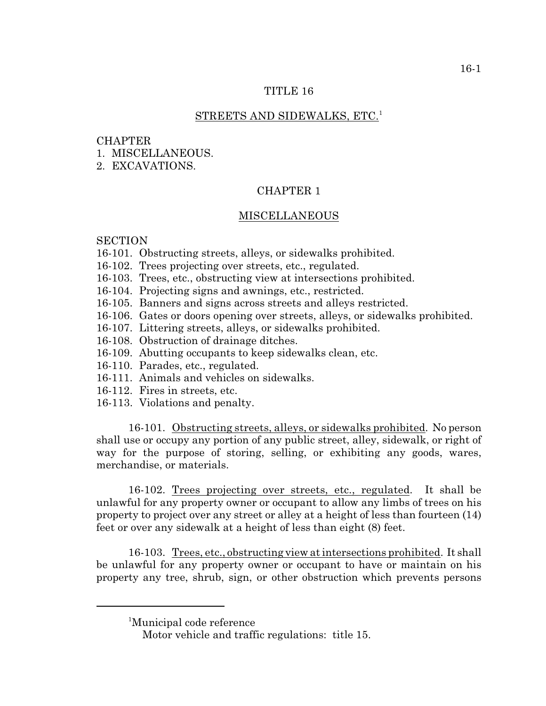### TITLE 16

## STREETS AND SIDEWALKS, ETC.<sup>1</sup>

#### **CHAPTER**

- 1. MISCELLANEOUS.
- 2. EXCAVATIONS.

# CHAPTER 1

## MISCELLANEOUS

## **SECTION**

- 16-101. Obstructing streets, alleys, or sidewalks prohibited.
- 16-102. Trees projecting over streets, etc., regulated.
- 16-103. Trees, etc., obstructing view at intersections prohibited.
- 16-104. Projecting signs and awnings, etc., restricted.
- 16-105. Banners and signs across streets and alleys restricted.
- 16-106. Gates or doors opening over streets, alleys, or sidewalks prohibited.
- 16-107. Littering streets, alleys, or sidewalks prohibited.
- 16-108. Obstruction of drainage ditches.
- 16-109. Abutting occupants to keep sidewalks clean, etc.
- 16-110. Parades, etc., regulated.
- 16-111. Animals and vehicles on sidewalks.
- 16-112. Fires in streets, etc.
- 16-113. Violations and penalty.

16-101. Obstructing streets, alleys, or sidewalks prohibited. No person shall use or occupy any portion of any public street, alley, sidewalk, or right of way for the purpose of storing, selling, or exhibiting any goods, wares, merchandise, or materials.

16-102. Trees projecting over streets, etc., regulated. It shall be unlawful for any property owner or occupant to allow any limbs of trees on his property to project over any street or alley at a height of less than fourteen (14) feet or over any sidewalk at a height of less than eight (8) feet.

16-103. Trees, etc., obstructing view at intersections prohibited. It shall be unlawful for any property owner or occupant to have or maintain on his property any tree, shrub, sign, or other obstruction which prevents persons

<sup>&</sup>lt;sup>1</sup>Municipal code reference

Motor vehicle and traffic regulations: title 15.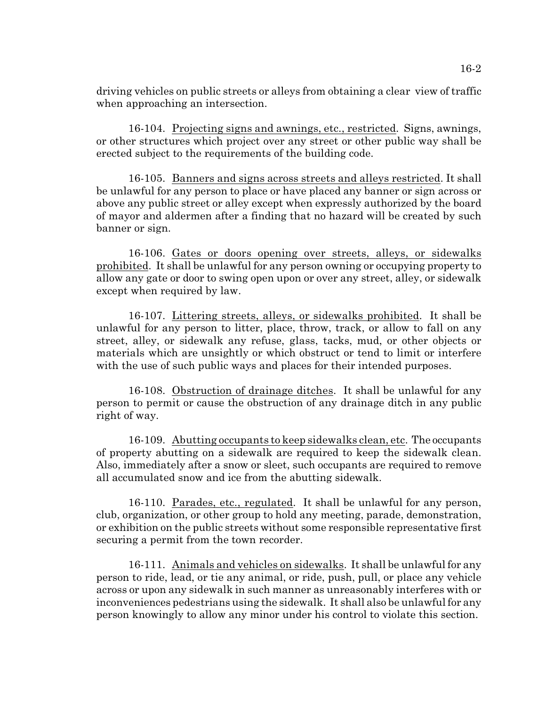driving vehicles on public streets or alleys from obtaining a clear view of traffic when approaching an intersection.

16-104. Projecting signs and awnings, etc., restricted. Signs, awnings, or other structures which project over any street or other public way shall be erected subject to the requirements of the building code.

16-105. Banners and signs across streets and alleys restricted. It shall be unlawful for any person to place or have placed any banner or sign across or above any public street or alley except when expressly authorized by the board of mayor and aldermen after a finding that no hazard will be created by such banner or sign.

16-106. Gates or doors opening over streets, alleys, or sidewalks prohibited. It shall be unlawful for any person owning or occupying property to allow any gate or door to swing open upon or over any street, alley, or sidewalk except when required by law.

16-107. Littering streets, alleys, or sidewalks prohibited. It shall be unlawful for any person to litter, place, throw, track, or allow to fall on any street, alley, or sidewalk any refuse, glass, tacks, mud, or other objects or materials which are unsightly or which obstruct or tend to limit or interfere with the use of such public ways and places for their intended purposes.

16-108. Obstruction of drainage ditches. It shall be unlawful for any person to permit or cause the obstruction of any drainage ditch in any public right of way.

16-109. Abutting occupants to keep sidewalks clean, etc. The occupants of property abutting on a sidewalk are required to keep the sidewalk clean. Also, immediately after a snow or sleet, such occupants are required to remove all accumulated snow and ice from the abutting sidewalk.

16-110. Parades, etc., regulated. It shall be unlawful for any person, club, organization, or other group to hold any meeting, parade, demonstration, or exhibition on the public streets without some responsible representative first securing a permit from the town recorder.

16-111. Animals and vehicles on sidewalks. It shall be unlawful for any person to ride, lead, or tie any animal, or ride, push, pull, or place any vehicle across or upon any sidewalk in such manner as unreasonably interferes with or inconveniences pedestrians using the sidewalk. It shall also be unlawful for any person knowingly to allow any minor under his control to violate this section.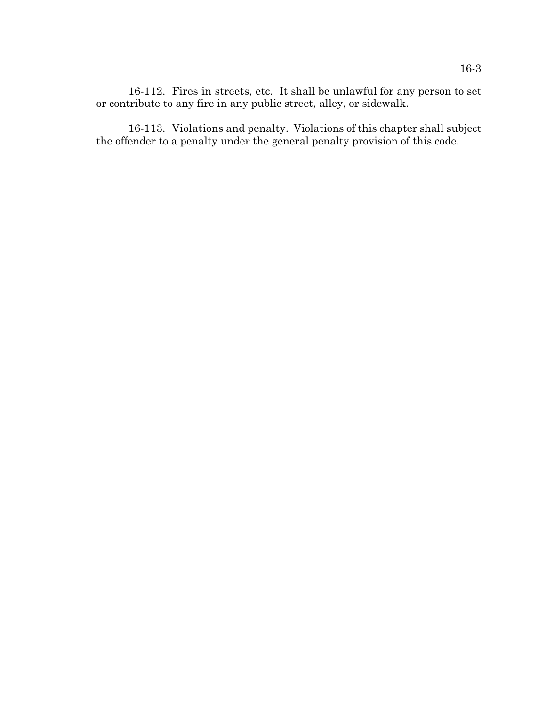16-112. Fires in streets, etc. It shall be unlawful for any person to set or contribute to any fire in any public street, alley, or sidewalk.

16-113. Violations and penalty. Violations of this chapter shall subject the offender to a penalty under the general penalty provision of this code.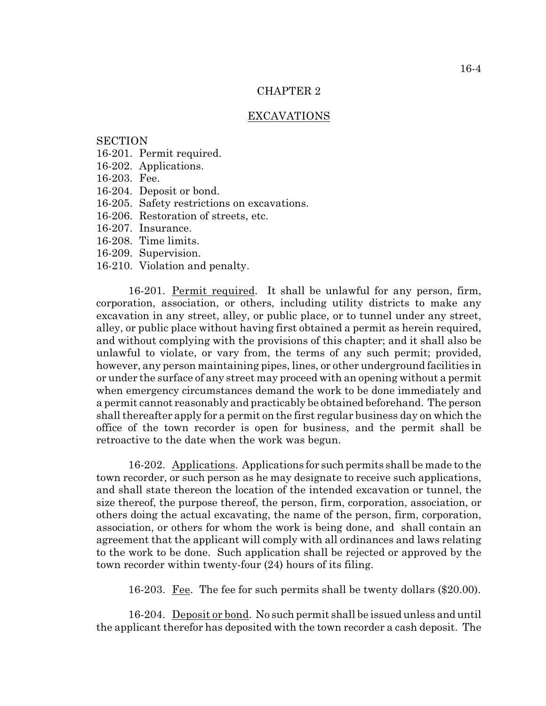### CHAPTER 2

### EXCAVATIONS

## **SECTION**

- 16-201. Permit required.
- 16-202. Applications.
- 16-203. Fee.
- 16-204. Deposit or bond.
- 16-205. Safety restrictions on excavations.
- 16-206. Restoration of streets, etc.
- 16-207. Insurance.
- 16-208. Time limits.
- 16-209. Supervision.
- 16-210. Violation and penalty.

16-201. Permit required. It shall be unlawful for any person, firm, corporation, association, or others, including utility districts to make any excavation in any street, alley, or public place, or to tunnel under any street, alley, or public place without having first obtained a permit as herein required, and without complying with the provisions of this chapter; and it shall also be unlawful to violate, or vary from, the terms of any such permit; provided, however, any person maintaining pipes, lines, or other underground facilities in or under the surface of any street may proceed with an opening without a permit when emergency circumstances demand the work to be done immediately and a permit cannot reasonably and practicably be obtained beforehand. The person shall thereafter apply for a permit on the first regular business day on which the office of the town recorder is open for business, and the permit shall be retroactive to the date when the work was begun.

16-202. Applications. Applications for such permits shall be made to the town recorder, or such person as he may designate to receive such applications, and shall state thereon the location of the intended excavation or tunnel, the size thereof, the purpose thereof, the person, firm, corporation, association, or others doing the actual excavating, the name of the person, firm, corporation, association, or others for whom the work is being done, and shall contain an agreement that the applicant will comply with all ordinances and laws relating to the work to be done. Such application shall be rejected or approved by the town recorder within twenty-four (24) hours of its filing.

16-203. Fee. The fee for such permits shall be twenty dollars (\$20.00).

16-204. Deposit or bond. No such permit shall be issued unless and until the applicant therefor has deposited with the town recorder a cash deposit. The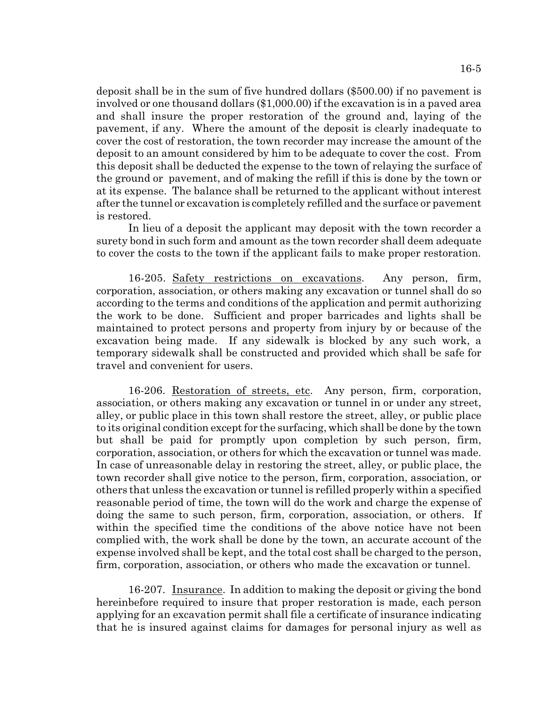deposit shall be in the sum of five hundred dollars (\$500.00) if no pavement is involved or one thousand dollars (\$1,000.00) if the excavation is in a paved area and shall insure the proper restoration of the ground and, laying of the pavement, if any. Where the amount of the deposit is clearly inadequate to cover the cost of restoration, the town recorder may increase the amount of the deposit to an amount considered by him to be adequate to cover the cost. From this deposit shall be deducted the expense to the town of relaying the surface of the ground or pavement, and of making the refill if this is done by the town or at its expense. The balance shall be returned to the applicant without interest after the tunnel or excavation is completely refilled and the surface or pavement is restored.

In lieu of a deposit the applicant may deposit with the town recorder a surety bond in such form and amount as the town recorder shall deem adequate to cover the costs to the town if the applicant fails to make proper restoration.

16-205. Safety restrictions on excavations. Any person, firm, corporation, association, or others making any excavation or tunnel shall do so according to the terms and conditions of the application and permit authorizing the work to be done. Sufficient and proper barricades and lights shall be maintained to protect persons and property from injury by or because of the excavation being made. If any sidewalk is blocked by any such work, a temporary sidewalk shall be constructed and provided which shall be safe for travel and convenient for users.

16-206. Restoration of streets, etc. Any person, firm, corporation, association, or others making any excavation or tunnel in or under any street, alley, or public place in this town shall restore the street, alley, or public place to its original condition except for the surfacing, which shall be done by the town but shall be paid for promptly upon completion by such person, firm, corporation, association, or others for which the excavation or tunnel was made. In case of unreasonable delay in restoring the street, alley, or public place, the town recorder shall give notice to the person, firm, corporation, association, or others that unless the excavation or tunnel is refilled properly within a specified reasonable period of time, the town will do the work and charge the expense of doing the same to such person, firm, corporation, association, or others. If within the specified time the conditions of the above notice have not been complied with, the work shall be done by the town, an accurate account of the expense involved shall be kept, and the total cost shall be charged to the person, firm, corporation, association, or others who made the excavation or tunnel.

16-207. Insurance. In addition to making the deposit or giving the bond hereinbefore required to insure that proper restoration is made, each person applying for an excavation permit shall file a certificate of insurance indicating that he is insured against claims for damages for personal injury as well as